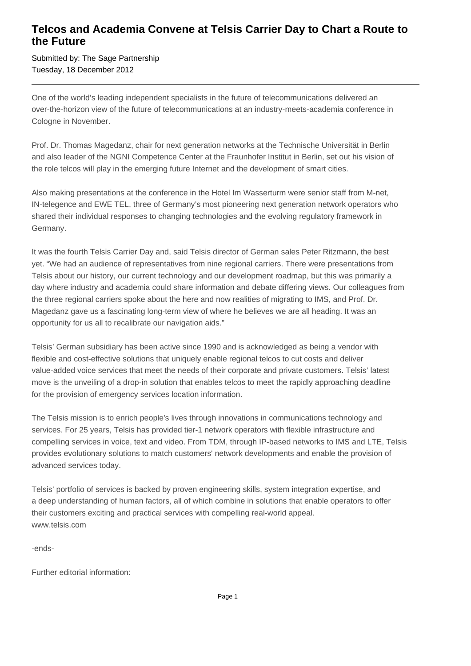## **Telcos and Academia Convene at Telsis Carrier Day to Chart a Route to the Future**

Submitted by: The Sage Partnership Tuesday, 18 December 2012

One of the world's leading independent specialists in the future of telecommunications delivered an over-the-horizon view of the future of telecommunications at an industry-meets-academia conference in Cologne in November.

Prof. Dr. Thomas Magedanz, chair for next generation networks at the Technische Universität in Berlin and also leader of the NGNI Competence Center at the Fraunhofer Institut in Berlin, set out his vision of the role telcos will play in the emerging future Internet and the development of smart cities.

Also making presentations at the conference in the Hotel Im Wasserturm were senior staff from M-net, IN-telegence and EWE TEL, three of Germany's most pioneering next generation network operators who shared their individual responses to changing technologies and the evolving regulatory framework in Germany.

It was the fourth Telsis Carrier Day and, said Telsis director of German sales Peter Ritzmann, the best yet. "We had an audience of representatives from nine regional carriers. There were presentations from Telsis about our history, our current technology and our development roadmap, but this was primarily a day where industry and academia could share information and debate differing views. Our colleagues from the three regional carriers spoke about the here and now realities of migrating to IMS, and Prof. Dr. Magedanz gave us a fascinating long-term view of where he believes we are all heading. It was an opportunity for us all to recalibrate our navigation aids."

Telsis' German subsidiary has been active since 1990 and is acknowledged as being a vendor with flexible and cost-effective solutions that uniquely enable regional telcos to cut costs and deliver value-added voice services that meet the needs of their corporate and private customers. Telsis' latest move is the unveiling of a drop-in solution that enables telcos to meet the rapidly approaching deadline for the provision of emergency services location information.

The Telsis mission is to enrich people's lives through innovations in communications technology and services. For 25 years, Telsis has provided tier-1 network operators with flexible infrastructure and compelling services in voice, text and video. From TDM, through IP-based networks to IMS and LTE, Telsis provides evolutionary solutions to match customers' network developments and enable the provision of advanced services today.

Telsis' portfolio of services is backed by proven engineering skills, system integration expertise, and a deep understanding of human factors, all of which combine in solutions that enable operators to offer their customers exciting and practical services with compelling real-world appeal. www.telsis.com

-ends-

Further editorial information: